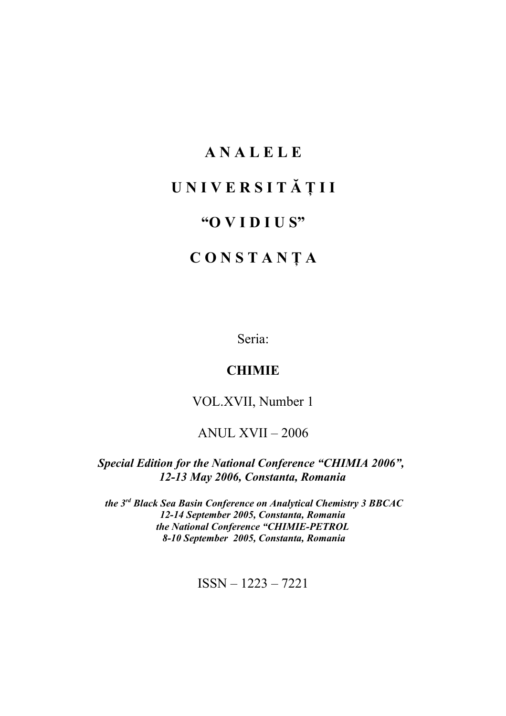## **A N A L E L E**

# **U N I V E R S I T Ă Ţ I I**

## **"O V I D I U S"**

# **C O N S T A N Ţ A**

Seria:

### **CHIMIE**

VOL.XVII, Number 1

## ANUL XVII – 2006

*Special Edition for the National Conference "CHIMIA 2006", 12-13 May 2006, Constanta, Romania*

 *the 3rd Black Sea Basin Conference on Analytical Chemistry 3 BBCAC 12-14 September 2005, Constanta, Romania the National Conference "CHIMIE-PETROL 8-10 September 2005, Constanta, Romania*

ISSN – 1223 – 7221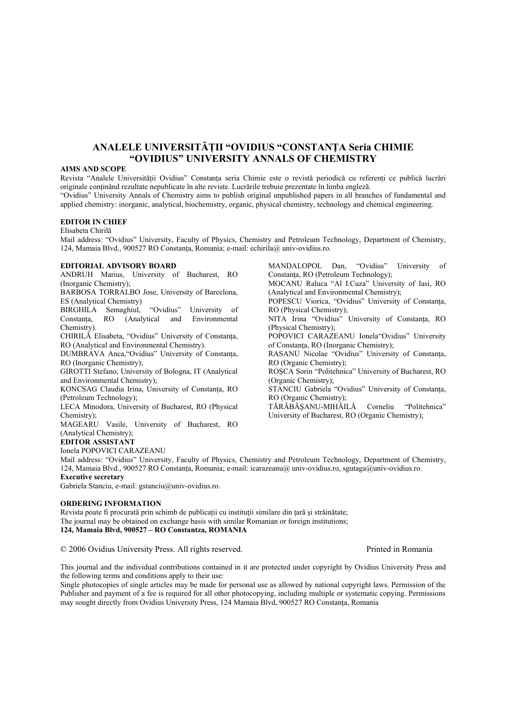### **ANALELE UNIVERSITĂŢII "OVIDIUS "CONSTANŢA Seria CHIMIE "OVIDIUS" UNIVERSITY ANNALS OF CHEMISTRY**

#### **AIMS AND SCOPE**

Revista "Analele Universităţii Ovidius" Constanţa seria Chimie este o revistă periodică cu referenţi ce publică lucrări originale continând rezultate nepublicate în alte reviste. Lucrările trebuie prezentate în limba engleză. "Ovidius" University Annals of Chemistry aims to publish original unpublished papers in all branches of fundamental and applied chemistry: inorganic, analytical, biochemistry, organic, physical chemistry, technology and chemical engineering.

#### **EDITOR IN CHIEF**

Elisabeta Chirilă

Mail address: "Ovidius" University, Faculty of Physics, Chemistry and Petroleum Technology, Department of Chemistry, 124, Mamaia Blvd., 900527 RO Constanta, Romania; e-mail: echirila@ univ-ovidius.ro.

#### **EDITORIAL ADVISORY BOARD**

ANDRUH Marius, University of Bucharest, RO (Inorganic Chemistry);

BARBOSA TORRALBO Jose, University of Barcelona, ES (Analytical Chemistry)

BIRGHILA Semaghiul, "Ovidius" University of Constanţa, RO (Analytical and Environmental Chemistry).

CHIRILĂ Elisabeta, "Ovidius" University of Constanţa, RO (Analytical and Environmental Chemistry).

DUMBRAVA Anca,"Ovidius" University of Constanţa, RO (Inorganic Chemistry);

GIROTTI Stefano, University of Bologna, IT (Analytical and Environmental Chemistry);

KONCSAG Claudia Irina, University of Constanta, RO (Petroleum Technology);

LECA Minodora, University of Bucharest, RO (Physical Chemistry);

MAGEARU Vasile, University of Bucharest, RO (Analytical Chemistry);

#### **EDITOR ASSISTANT**

Ionela POPOVICI CARAZEANU

Mail address: "Ovidius" University, Faculty of Physics, Chemistry and Petroleum Technology, Department of Chemistry, 124, Mamaia Blvd., 900527 RO Constanţa, Romania; e-mail: icarazeanu@ univ-ovidius.ro, sgutaga@univ-ovidius.ro. **Executive secretary**

Gabriela Stanciu, e-mail: gstanciu@univ-ovidius.ro.

#### **ORDERING INFORMATION**

Revista poate fi procurată prin schimb de publicații cu instituții similare din țară și străinătate; The journal may be obtained on exchange basis with similar Romanian or foreign institutions; **124, Mamaia Blvd, 900527 – RO Constantza, ROMANIA**

© 2006 Ovidius University Press. All rights reserved. Printed in Romania

This journal and the individual contributions contained in it are protected under copyright by Ovidius University Press and the following terms and conditions apply to their use:

Single photocopies of single articles may be made for personal use as allowed by national copyright laws. Permission of the Publisher and payment of a fee is required for all other photocopying, including multiple or systematic copying. Permissions may sought directly from Ovidius University Press, 124 Mamaia Blvd, 900527 RO Constanţa, Romania

MANDALOPOL Dan, "Ovidius" University of Constanţa, RO (Petroleum Technology); MOCANU Raluca "Al I.Cuza" University of Iasi, RO (Analytical and Environmental Chemistry); POPESCU Viorica, "Ovidius" University of Constanta, RO (Physical Chemistry); NITA Irina "Ovidius" University of Constanţa, RO (Physical Chemistry); POPOVICI CARAZEANU Ionela"Ovidius" University of Constanţa, RO (Inorganic Chemistry); RASANU Nicolae "Ovidius" University of Constanta, RO (Organic Chemistry); ROŞCA Sorin "Politehnica" University of Bucharest, RO (Organic Chemistry); STANCIU Gabriela "Ovidius" University of Constanta, RO (Organic Chemistry); TĂRĂBĂŞANU-MIHĂILĂ Corneliu "Politehnica" University of Bucharest, RO (Organic Chemistry);